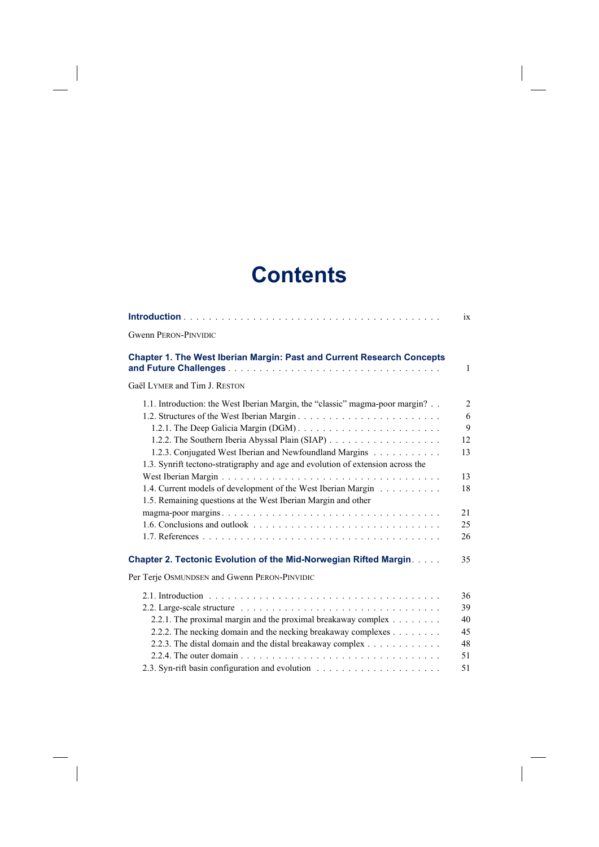## **Contents**

 $\overline{\phantom{a}}$ 

 $\begin{array}{c} \hline \end{array}$ 

 $\begin{array}{c} \hline \end{array}$ 

|                                                                                                                                                                                                                                                                                             | ix                                  |
|---------------------------------------------------------------------------------------------------------------------------------------------------------------------------------------------------------------------------------------------------------------------------------------------|-------------------------------------|
| <b>Gwenn PERON-PINVIDIC</b>                                                                                                                                                                                                                                                                 |                                     |
| Chapter 1. The West Iberian Margin: Past and Current Research Concepts                                                                                                                                                                                                                      | $\mathbf{1}$                        |
| Gaël LYMER and Tim J. RESTON                                                                                                                                                                                                                                                                |                                     |
| 1.1. Introduction: the West Iberian Margin, the "classic" magma-poor margin?<br>1.2.3. Conjugated West Iberian and Newfoundland Margins<br>1.3. Synrift tectono-stratigraphy and age and evolution of extension across the<br>1.4. Current models of development of the West Iberian Margin | 2<br>6<br>9<br>12<br>13<br>13<br>18 |
| 1.5. Remaining questions at the West Iberian Margin and other                                                                                                                                                                                                                               |                                     |
|                                                                                                                                                                                                                                                                                             | 21                                  |
| 1.6. Conclusions and outlook $\ldots$ $\ldots$ $\ldots$ $\ldots$ $\ldots$ $\ldots$ $\ldots$ $\ldots$ $\ldots$ $\ldots$                                                                                                                                                                      | 25                                  |
|                                                                                                                                                                                                                                                                                             | 26                                  |
| Chapter 2. Tectonic Evolution of the Mid-Norwegian Rifted Margin.                                                                                                                                                                                                                           | 35                                  |
| Per Terje OSMUNDSEN and Gwenn PERON-PINVIDIC                                                                                                                                                                                                                                                |                                     |
|                                                                                                                                                                                                                                                                                             | 36                                  |
|                                                                                                                                                                                                                                                                                             | 39                                  |
| 2.2.1. The proximal margin and the proximal breakaway complex                                                                                                                                                                                                                               | 40                                  |
| 2.2.2. The necking domain and the necking breakaway complexes                                                                                                                                                                                                                               | 45                                  |
| 2.2.3. The distal domain and the distal breakaway complex                                                                                                                                                                                                                                   | 48                                  |
|                                                                                                                                                                                                                                                                                             | 51                                  |
|                                                                                                                                                                                                                                                                                             | 51                                  |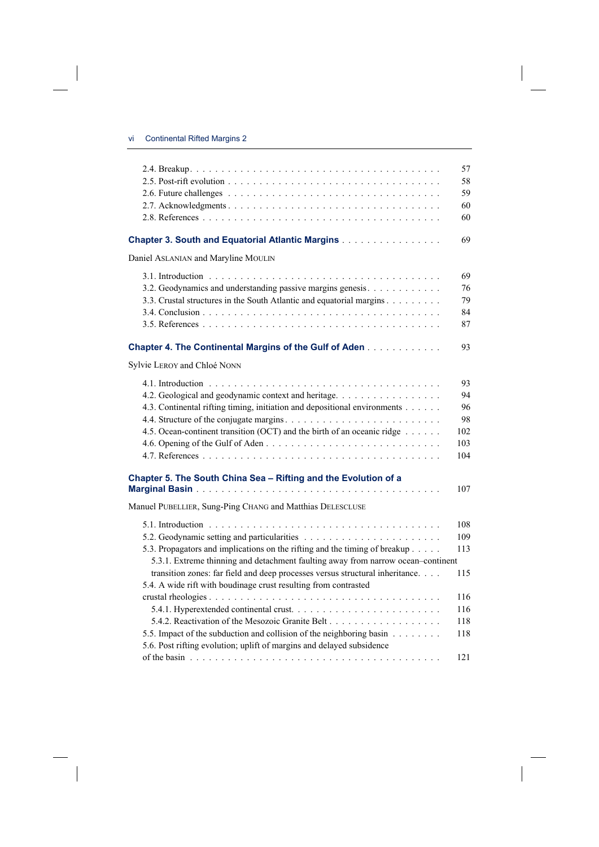$\overline{\phantom{a}}$ 

 $\begin{array}{c} \hline \end{array}$ 

|                                                                                  | 57  |
|----------------------------------------------------------------------------------|-----|
|                                                                                  | 58  |
|                                                                                  | 59  |
|                                                                                  | 60  |
|                                                                                  | 60  |
|                                                                                  |     |
| <b>Chapter 3. South and Equatorial Atlantic Margins</b>                          | 69  |
| Daniel ASLANIAN and Maryline MOULIN                                              |     |
|                                                                                  | 69  |
| 3.2. Geodynamics and understanding passive margins genesis.                      | 76  |
| 3.3. Crustal structures in the South Atlantic and equatorial margins             | 79  |
|                                                                                  | 84  |
|                                                                                  | 87  |
|                                                                                  |     |
| <b>Chapter 4. The Continental Margins of the Gulf of Aden</b>                    | 93  |
|                                                                                  |     |
| Sylvie LEROY and Chloé NONN                                                      |     |
|                                                                                  | 93  |
| 4.2. Geological and geodynamic context and heritage.                             | 94  |
| 4.3. Continental rifting timing, initiation and depositional environments        | 96  |
|                                                                                  | 98  |
| 4.5. Ocean-continent transition (OCT) and the birth of an oceanic ridge          | 102 |
|                                                                                  | 103 |
|                                                                                  | 104 |
|                                                                                  |     |
| Chapter 5. The South China Sea - Rifting and the Evolution of a                  |     |
|                                                                                  | 107 |
| Manuel PUBELLIER, Sung-Ping CHANG and Matthias DELESCLUSE                        |     |
|                                                                                  | 108 |
|                                                                                  | 109 |
| 5.3. Propagators and implications on the rifting and the timing of breakup       | 113 |
|                                                                                  |     |
| 5.3.1. Extreme thinning and detachment faulting away from narrow ocean-continent |     |
| transition zones: far field and deep processes versus structural inheritance.    | 115 |
| 5.4. A wide rift with boudinage crust resulting from contrasted                  |     |
|                                                                                  | 116 |
|                                                                                  | 116 |
|                                                                                  | 118 |
| 5.5. Impact of the subduction and collision of the neighboring basin             | 118 |
| 5.6. Post rifting evolution; uplift of margins and delayed subsidence            |     |
|                                                                                  | 121 |

 $\overline{\phantom{a}}$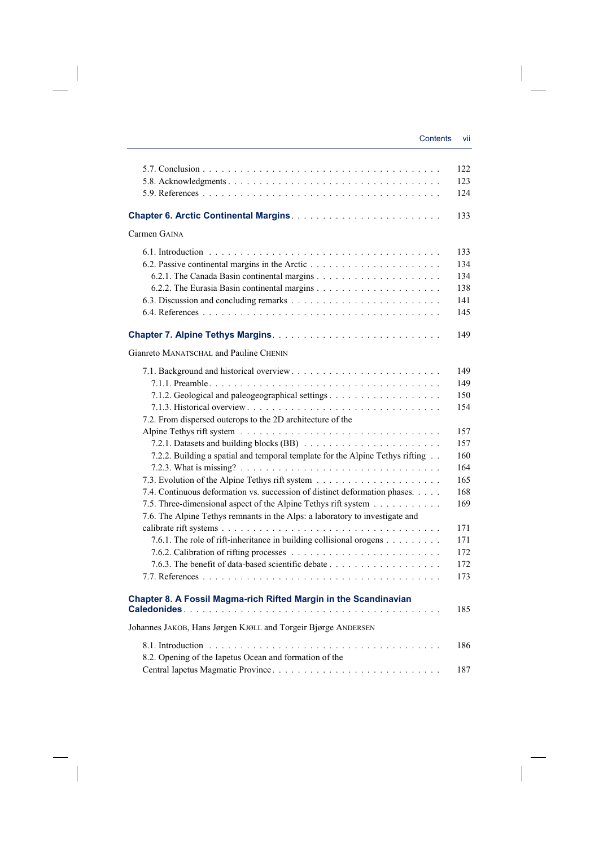|                                                                                                                                              | 122        |
|----------------------------------------------------------------------------------------------------------------------------------------------|------------|
|                                                                                                                                              | 123        |
|                                                                                                                                              | 124        |
|                                                                                                                                              |            |
|                                                                                                                                              | 133        |
| Carmen GAINA                                                                                                                                 |            |
|                                                                                                                                              | 133        |
|                                                                                                                                              | 134        |
|                                                                                                                                              | 134        |
|                                                                                                                                              | 138        |
|                                                                                                                                              | 141        |
|                                                                                                                                              | 145        |
|                                                                                                                                              | 149        |
| Gianreto MANATSCHAL and Pauline CHENIN                                                                                                       |            |
|                                                                                                                                              |            |
|                                                                                                                                              | 149        |
|                                                                                                                                              | 149        |
|                                                                                                                                              | 150        |
|                                                                                                                                              | 154        |
| 7.2. From dispersed outcrops to the 2D architecture of the                                                                                   |            |
|                                                                                                                                              | 157        |
|                                                                                                                                              | 157        |
| 7.2.2. Building a spatial and temporal template for the Alpine Tethys rifting                                                                | 160        |
|                                                                                                                                              | 164        |
|                                                                                                                                              | 165        |
| 7.4. Continuous deformation vs. succession of distinct deformation phases.<br>7.5. Three-dimensional aspect of the Alpine Tethys rift system | 168<br>169 |
| 7.6. The Alpine Tethys remnants in the Alps: a laboratory to investigate and                                                                 |            |
|                                                                                                                                              | 171        |
| 7.6.1. The role of rift-inheritance in building collisional orogens                                                                          | 171        |
|                                                                                                                                              | 172        |
|                                                                                                                                              | 172        |
|                                                                                                                                              | 173        |
|                                                                                                                                              |            |
| Chapter 8. A Fossil Magma-rich Rifted Margin in the Scandinavian                                                                             |            |
|                                                                                                                                              | 185        |
| Johannes JAKOB, Hans Jørgen KJØLL and Torgeir Bjørge ANDERSEN                                                                                |            |
|                                                                                                                                              | 186        |
| 8.2. Opening of the Iapetus Ocean and formation of the                                                                                       |            |
|                                                                                                                                              | 187        |